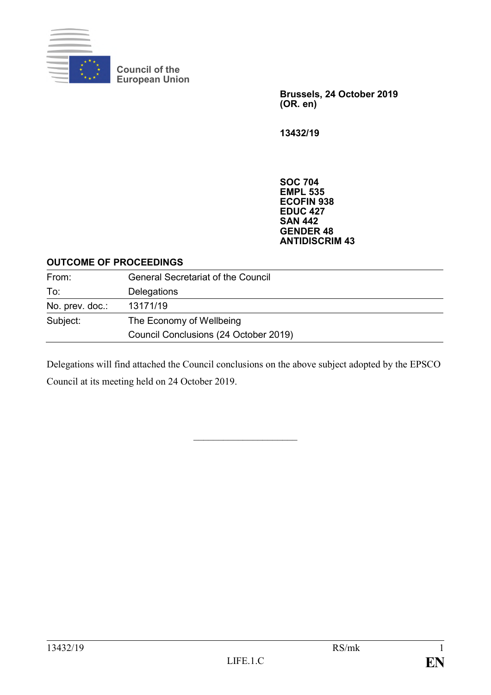

**Council of the European Union**

> **Brussels, 24 October 2019 (OR. en)**

**13432/19**

**SOC 704 EMPL 535 ECOFIN 938 EDUC 427 SAN 442 GENDER 48 ANTIDISCRIM 43**

#### **OUTCOME OF PROCEEDINGS**

| From:           | <b>General Secretariat of the Council</b> |
|-----------------|-------------------------------------------|
| To:             | Delegations                               |
| No. prev. doc.: | 13171/19                                  |
| Subject:        | The Economy of Wellbeing                  |
|                 | Council Conclusions (24 October 2019)     |

Delegations will find attached the Council conclusions on the above subject adopted by the EPSCO Council at its meeting held on 24 October 2019.

 $\overline{\phantom{a}}$  , where  $\overline{\phantom{a}}$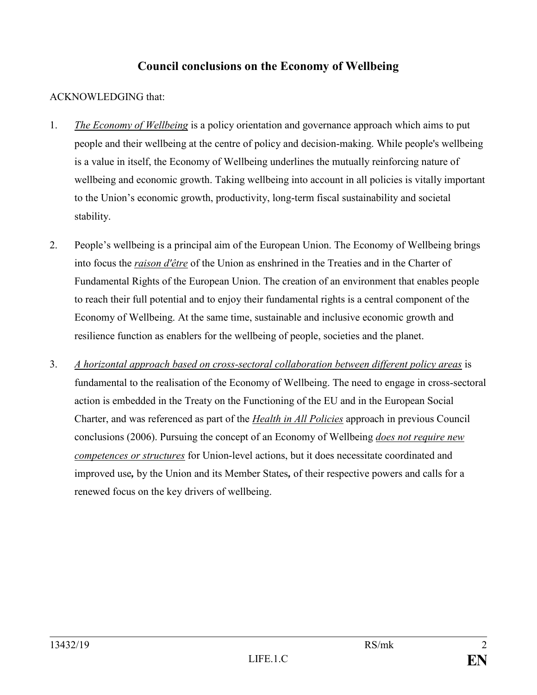# **Council conclusions on the Economy of Wellbeing**

## ACKNOWLEDGING that:

- 1. *The Economy of Wellbeing* is a policy orientation and governance approach which aims to put people and their wellbeing at the centre of policy and decision-making. While people's wellbeing is a value in itself, the Economy of Wellbeing underlines the mutually reinforcing nature of wellbeing and economic growth. Taking wellbeing into account in all policies is vitally important to the Union's economic growth, productivity, long-term fiscal sustainability and societal stability.
- 2. People's wellbeing is a principal aim of the European Union. The Economy of Wellbeing brings into focus the *raison d'être* of the Union as enshrined in the Treaties and in the Charter of Fundamental Rights of the European Union. The creation of an environment that enables people to reach their full potential and to enjoy their fundamental rights is a central component of the Economy of Wellbeing. At the same time, sustainable and inclusive economic growth and resilience function as enablers for the wellbeing of people, societies and the planet.
- 3. *A horizontal approach based on cross-sectoral collaboration between different policy areas* is fundamental to the realisation of the Economy of Wellbeing. The need to engage in cross-sectoral action is embedded in the Treaty on the Functioning of the EU and in the European Social Charter, and was referenced as part of the *Health in All Policies* approach in previous Council conclusions (2006). Pursuing the concept of an Economy of Wellbeing *does not require new competences or structures* for Union-level actions, but it does necessitate coordinated and improved use*,* by the Union and its Member States*,* of their respective powers and calls for a renewed focus on the key drivers of wellbeing.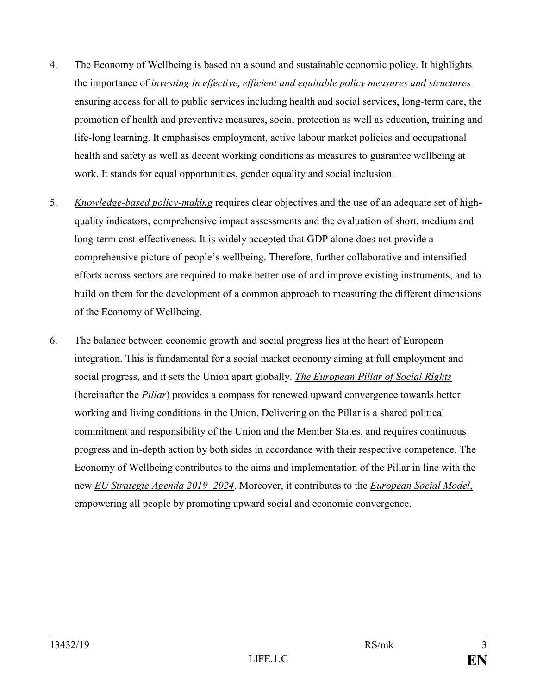- 4. The Economy of Wellbeing is based on a sound and sustainable economic policy. It highlights the importance of *investing in effective, efficient and equitable policy measures and structures* ensuring access for all to public services including health and social services, long-term care, the promotion of health and preventive measures, social protection as well as education, training and life-long learning. It emphasises employment, active labour market policies and occupational health and safety as well as decent working conditions as measures to guarantee wellbeing at work. It stands for equal opportunities, gender equality and social inclusion.
- 5. *Knowledge-based policy-making* requires clear objectives and the use of an adequate set of highquality indicators, comprehensive impact assessments and the evaluation of short, medium and long-term cost-effectiveness. It is widely accepted that GDP alone does not provide a comprehensive picture of people's wellbeing. Therefore, further collaborative and intensified efforts across sectors are required to make better use of and improve existing instruments, and to build on them for the development of a common approach to measuring the different dimensions of the Economy of Wellbeing.
- 6. The balance between economic growth and social progress lies at the heart of European integration. This is fundamental for a social market economy aiming at full employment and social progress, and it sets the Union apart globally. *The European Pillar of Social Rights* (hereinafter the *Pillar*) provides a compass for renewed upward convergence towards better working and living conditions in the Union. Delivering on the Pillar is a shared political commitment and responsibility of the Union and the Member States, and requires continuous progress and in-depth action by both sides in accordance with their respective competence. The Economy of Wellbeing contributes to the aims and implementation of the Pillar in line with the new *EU Strategic Agenda 2019–2024*. Moreover, it contributes to the *European Social Model*, empowering all people by promoting upward social and economic convergence.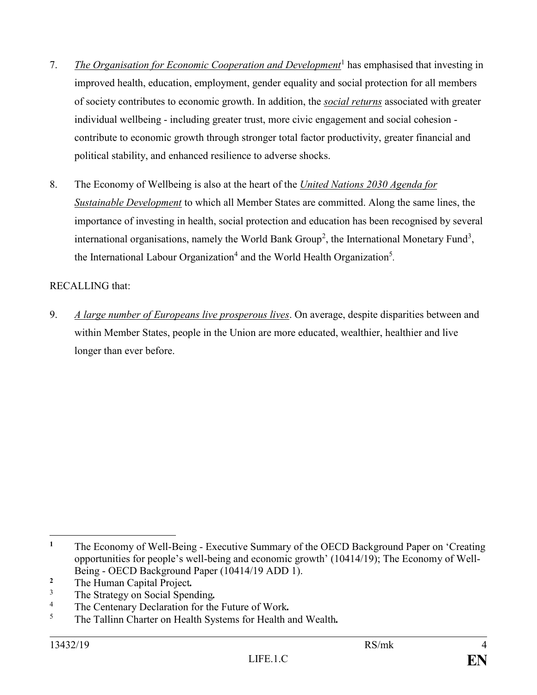- 7. *The Organisation for Economic Cooperation and Development*<sup>1</sup> has emphasised that investing in improved health, education, employment, gender equality and social protection for all members of society contributes to economic growth. In addition, the *social returns* associated with greater individual wellbeing - including greater trust, more civic engagement and social cohesion contribute to economic growth through stronger total factor productivity, greater financial and political stability, and enhanced resilience to adverse shocks.
- 8. The Economy of Wellbeing is also at the heart of the *United Nations 2030 Agenda for Sustainable Development* to which all Member States are committed. Along the same lines, the importance of investing in health, social protection and education has been recognised by several international organisations, namely the World Bank Group<sup>2</sup>, the International Monetary Fund<sup>3</sup>, the International Labour Organization<sup>4</sup> and the World Health Organization<sup>5</sup>.

### RECALLING that:

9. *A large number of Europeans live prosperous lives*. On average, despite disparities between and within Member States, people in the Union are more educated, wealthier, healthier and live longer than ever before.

- <sup>2</sup> The Human Capital Project.<br><sup>3</sup> The Strategy on Social Span
- <sup>3</sup> The Strategy on Social Spending.<br><sup>4</sup> The Contenery Decleration for the
- <sup>4</sup> The Centenary Declaration for the Future of Work.<br><sup>5</sup> The Telling Cherter on Health Systems for Health s
- <sup>5</sup> The Tallinn Charter on Health Systems for Health and Wealth*.*

 $\overline{a}$ <sup>1</sup> The Economy of Well-Being - Executive Summary of the OECD Background Paper on 'Creating' opportunities for people's well-being and economic growth' (10414/19); The Economy of Well-Being - OECD Background Paper (10414/19 ADD 1).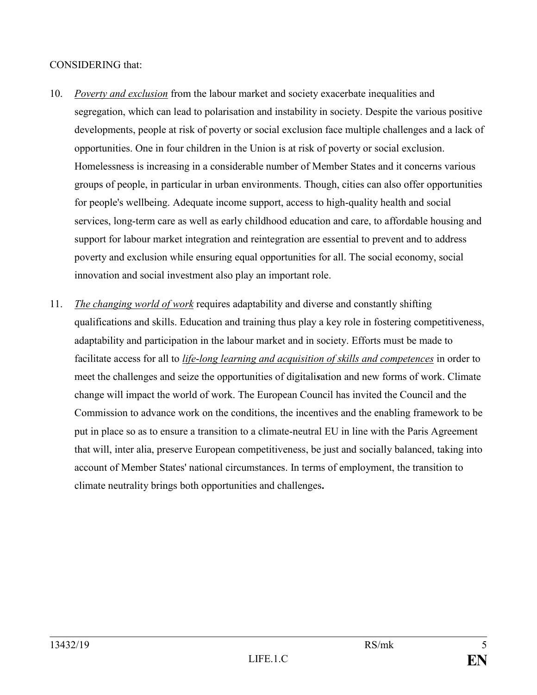### CONSIDERING that:

- 10. *Poverty and exclusion* from the labour market and society exacerbate inequalities and segregation, which can lead to polarisation and instability in society. Despite the various positive developments, people at risk of poverty or social exclusion face multiple challenges and a lack of opportunities. One in four children in the Union is at risk of poverty or social exclusion. Homelessness is increasing in a considerable number of Member States and it concerns various groups of people, in particular in urban environments. Though, cities can also offer opportunities for people's wellbeing. Adequate income support, access to high-quality health and social services, long-term care as well as early childhood education and care, to affordable housing and support for labour market integration and reintegration are essential to prevent and to address poverty and exclusion while ensuring equal opportunities for all. The social economy, social innovation and social investment also play an important role.
- 11. *The changing world of work* requires adaptability and diverse and constantly shifting qualifications and skills. Education and training thus play a key role in fostering competitiveness, adaptability and participation in the labour market and in society. Efforts must be made to facilitate access for all to *life*-*long learning and acquisition of skills and competences* in order to meet the challenges and seize the opportunities of digitali*s*ation and new forms of work. Climate change will impact the world of work. The European Council has invited the Council and the Commission to advance work on the conditions, the incentives and the enabling framework to be put in place so as to ensure a transition to a climate-neutral EU in line with the Paris Agreement that will, inter alia, preserve European competitiveness, be just and socially balanced, taking into account of Member States' national circumstances. In terms of employment, the transition to climate neutrality brings both opportunities and challenges**.**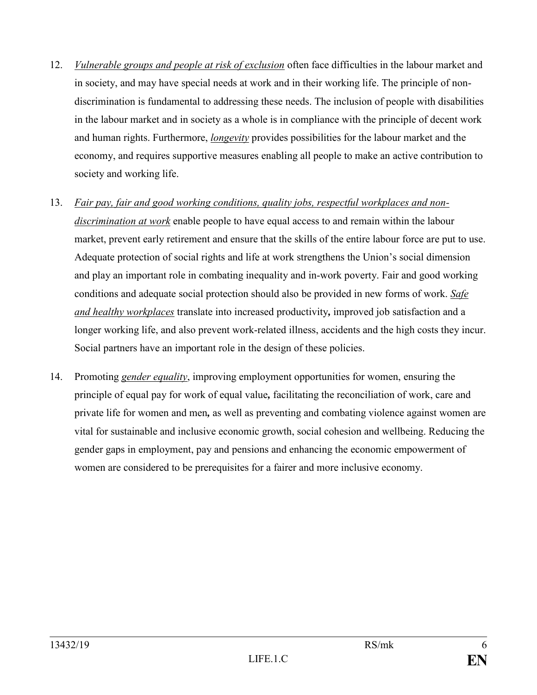- 12. *Vulnerable groups and people at risk of exclusion* often face difficulties in the labour market and in society, and may have special needs at work and in their working life. The principle of nondiscrimination is fundamental to addressing these needs. The inclusion of people with disabilities in the labour market and in society as a whole is in compliance with the principle of decent work and human rights. Furthermore, *longevity* provides possibilities for the labour market and the economy, and requires supportive measures enabling all people to make an active contribution to society and working life.
- 13. *Fair pay, fair and good working conditions, quality jobs, respectful workplaces and nondiscrimination at work* enable people to have equal access to and remain within the labour market, prevent early retirement and ensure that the skills of the entire labour force are put to use. Adequate protection of social rights and life at work strengthens the Union's social dimension and play an important role in combating inequality and in-work poverty. Fair and good working conditions and adequate social protection should also be provided in new forms of work. *Safe and healthy workplaces* translate into increased productivity*,* improved job satisfaction and a longer working life, and also prevent work-related illness, accidents and the high costs they incur. Social partners have an important role in the design of these policies.
- 14. Promoting *gender equality*, improving employment opportunities for women, ensuring the principle of equal pay for work of equal value*,* facilitating the reconciliation of work, care and private life for women and men*,* as well as preventing and combating violence against women are vital for sustainable and inclusive economic growth, social cohesion and wellbeing. Reducing the gender gaps in employment, pay and pensions and enhancing the economic empowerment of women are considered to be prerequisites for a fairer and more inclusive economy.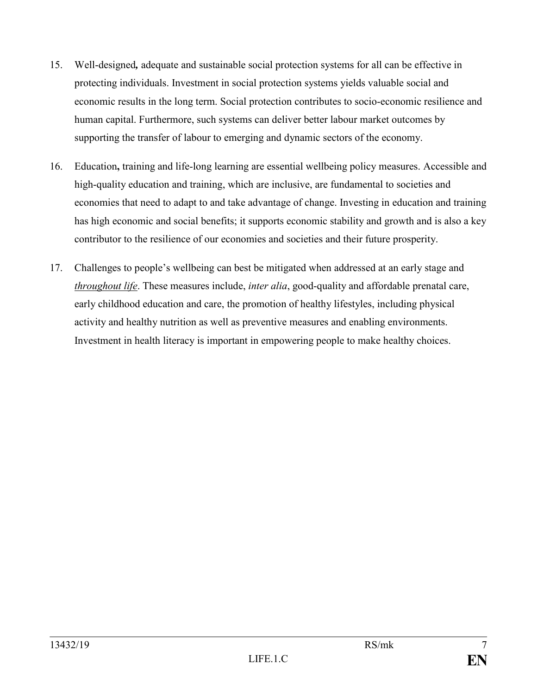- 15. Well-designed*,* adequate and sustainable social protection systems for all can be effective in protecting individuals. Investment in social protection systems yields valuable social and economic results in the long term. Social protection contributes to socio-economic resilience and human capital. Furthermore, such systems can deliver better labour market outcomes by supporting the transfer of labour to emerging and dynamic sectors of the economy.
- 16. Education**,** training and life-long learning are essential wellbeing policy measures. Accessible and high-quality education and training, which are inclusive, are fundamental to societies and economies that need to adapt to and take advantage of change. Investing in education and training has high economic and social benefits; it supports economic stability and growth and is also a key contributor to the resilience of our economies and societies and their future prosperity.
- 17. Challenges to people's wellbeing can best be mitigated when addressed at an early stage and *throughout life*. These measures include, *inter alia*, good-quality and affordable prenatal care, early childhood education and care, the promotion of healthy lifestyles, including physical activity and healthy nutrition as well as preventive measures and enabling environments. Investment in health literacy is important in empowering people to make healthy choices.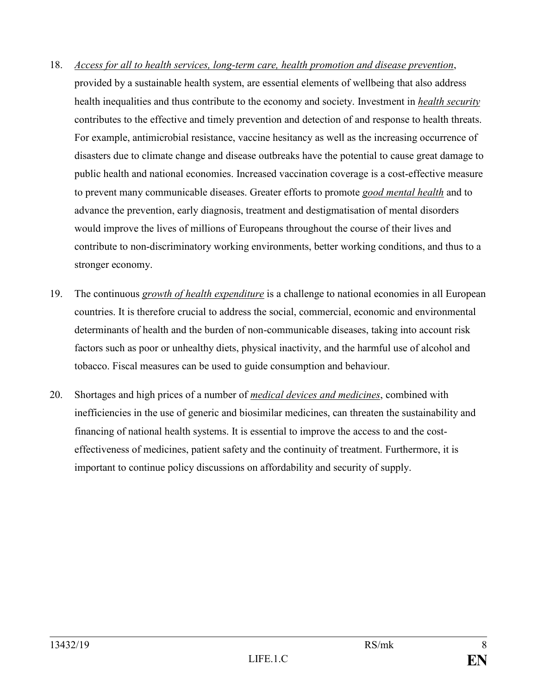- 18. *Access for all to health services, long-term care, health promotion and disease prevention*, provided by a sustainable health system, are essential elements of wellbeing that also address health inequalities and thus contribute to the economy and society. Investment in *health security* contributes to the effective and timely prevention and detection of and response to health threats. For example, antimicrobial resistance, vaccine hesitancy as well as the increasing occurrence of disasters due to climate change and disease outbreaks have the potential to cause great damage to public health and national economies. Increased vaccination coverage is a cost-effective measure to prevent many communicable diseases. Greater efforts to promote *good mental health* and to advance the prevention, early diagnosis, treatment and destigmatisation of mental disorders would improve the lives of millions of Europeans throughout the course of their lives and contribute to non-discriminatory working environments, better working conditions, and thus to a stronger economy.
- 19. The continuous *growth of health expenditure* is a challenge to national economies in all European countries. It is therefore crucial to address the social, commercial, economic and environmental determinants of health and the burden of non-communicable diseases, taking into account risk factors such as poor or unhealthy diets, physical inactivity, and the harmful use of alcohol and tobacco. Fiscal measures can be used to guide consumption and behaviour.
- 20. Shortages and high prices of a number of *medical devices and medicines*, combined with inefficiencies in the use of generic and biosimilar medicines, can threaten the sustainability and financing of national health systems. It is essential to improve the access to and the costeffectiveness of medicines, patient safety and the continuity of treatment. Furthermore, it is important to continue policy discussions on affordability and security of supply.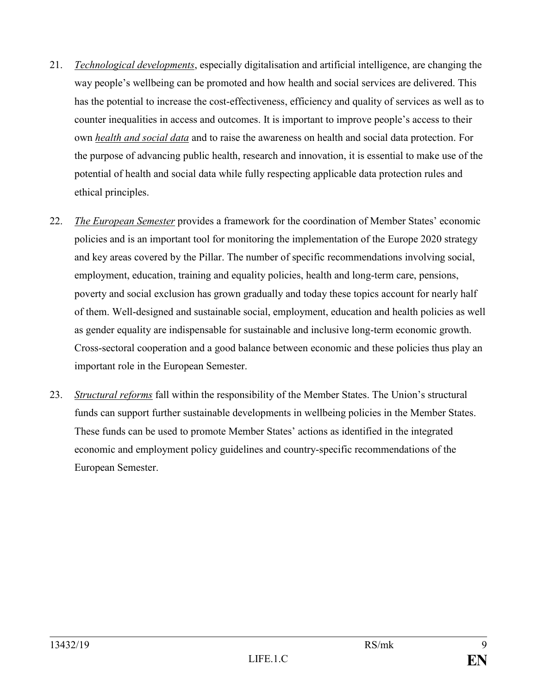- 21. *Technological developments*, especially digitalisation and artificial intelligence, are changing the way people's wellbeing can be promoted and how health and social services are delivered. This has the potential to increase the cost-effectiveness, efficiency and quality of services as well as to counter inequalities in access and outcomes. It is important to improve people's access to their own *health and social data* and to raise the awareness on health and social data protection. For the purpose of advancing public health, research and innovation, it is essential to make use of the potential of health and social data while fully respecting applicable data protection rules and ethical principles.
- 22. *The European Semester* provides a framework for the coordination of Member States' economic policies and is an important tool for monitoring the implementation of the Europe 2020 strategy and key areas covered by the Pillar. The number of specific recommendations involving social, employment, education, training and equality policies, health and long-term care, pensions, poverty and social exclusion has grown gradually and today these topics account for nearly half of them. Well-designed and sustainable social, employment, education and health policies as well as gender equality are indispensable for sustainable and inclusive long-term economic growth. Cross-sectoral cooperation and a good balance between economic and these policies thus play an important role in the European Semester.
- 23. *Structural reforms* fall within the responsibility of the Member States. The Union's structural funds can support further sustainable developments in wellbeing policies in the Member States. These funds can be used to promote Member States' actions as identified in the integrated economic and employment policy guidelines and country-specific recommendations of the European Semester.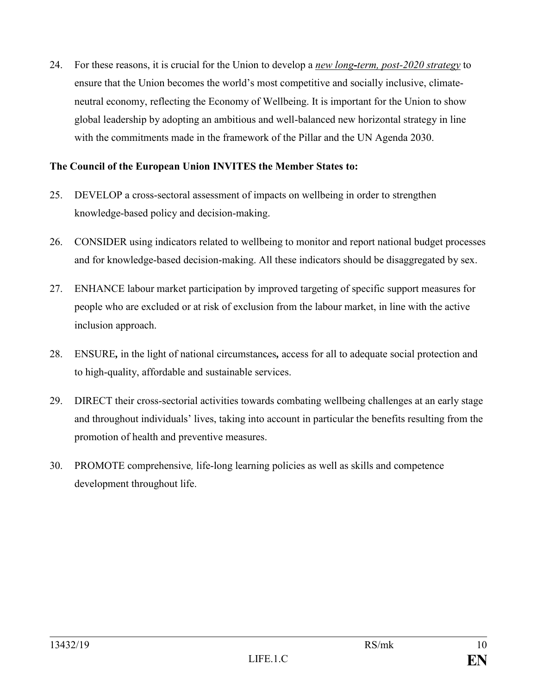24. For these reasons, it is crucial for the Union to develop a *new long-term, post-2020 strategy* to ensure that the Union becomes the world's most competitive and socially inclusive, climateneutral economy, reflecting the Economy of Wellbeing. It is important for the Union to show global leadership by adopting an ambitious and well-balanced new horizontal strategy in line with the commitments made in the framework of the Pillar and the UN Agenda 2030.

#### **The Council of the European Union INVITES the Member States to:**

- 25. DEVELOP a cross-sectoral assessment of impacts on wellbeing in order to strengthen knowledge-based policy and decision-making.
- 26. CONSIDER using indicators related to wellbeing to monitor and report national budget processes and for knowledge-based decision-making. All these indicators should be disaggregated by sex.
- 27. ENHANCE labour market participation by improved targeting of specific support measures for people who are excluded or at risk of exclusion from the labour market, in line with the active inclusion approach.
- 28. ENSURE*,* in the light of national circumstances*,* access for all to adequate social protection and to high-quality, affordable and sustainable services.
- 29. DIRECT their cross-sectorial activities towards combating wellbeing challenges at an early stage and throughout individuals' lives, taking into account in particular the benefits resulting from the promotion of health and preventive measures.
- 30. PROMOTE comprehensive*,* life-long learning policies as well as skills and competence development throughout life.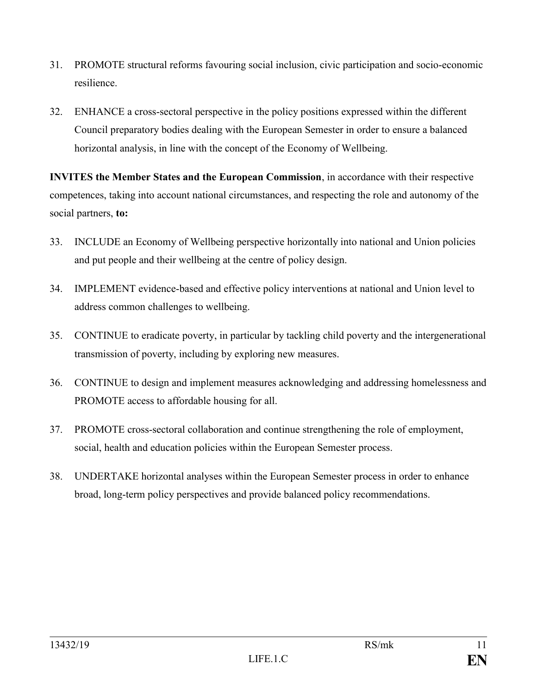- 31. PROMOTE structural reforms favouring social inclusion, civic participation and socio-economic resilience.
- 32. ENHANCE a cross-sectoral perspective in the policy positions expressed within the different Council preparatory bodies dealing with the European Semester in order to ensure a balanced horizontal analysis, in line with the concept of the Economy of Wellbeing.

**INVITES the Member States and the European Commission**, in accordance with their respective competences, taking into account national circumstances, and respecting the role and autonomy of the social partners, **to:**

- 33. INCLUDE an Economy of Wellbeing perspective horizontally into national and Union policies and put people and their wellbeing at the centre of policy design.
- 34. IMPLEMENT evidence-based and effective policy interventions at national and Union level to address common challenges to wellbeing.
- 35. CONTINUE to eradicate poverty, in particular by tackling child poverty and the intergenerational transmission of poverty, including by exploring new measures.
- 36. CONTINUE to design and implement measures acknowledging and addressing homelessness and PROMOTE access to affordable housing for all.
- 37. PROMOTE cross-sectoral collaboration and continue strengthening the role of employment, social, health and education policies within the European Semester process.
- 38. UNDERTAKE horizontal analyses within the European Semester process in order to enhance broad, long-term policy perspectives and provide balanced policy recommendations.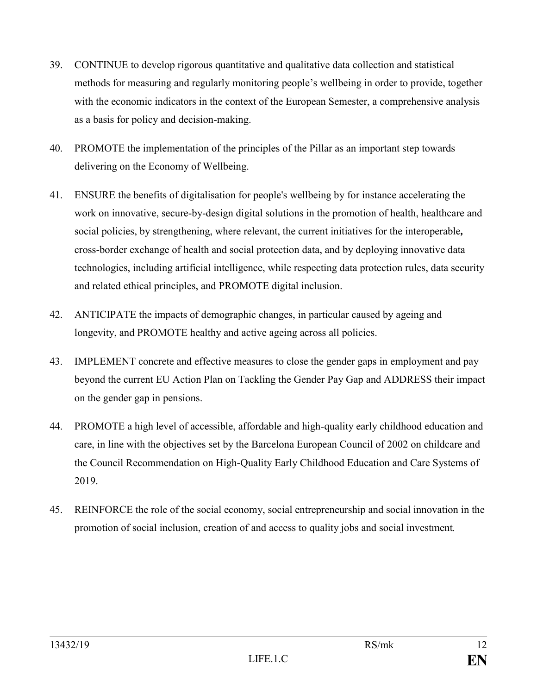- 39. CONTINUE to develop rigorous quantitative and qualitative data collection and statistical methods for measuring and regularly monitoring people's wellbeing in order to provide, together with the economic indicators in the context of the European Semester, a comprehensive analysis as a basis for policy and decision-making.
- 40. PROMOTE the implementation of the principles of the Pillar as an important step towards delivering on the Economy of Wellbeing.
- 41. ENSURE the benefits of digitalisation for people's wellbeing by for instance accelerating the work on innovative, secure-by-design digital solutions in the promotion of health, healthcare and social policies, by strengthening, where relevant, the current initiatives for the interoperable*,* cross-border exchange of health and social protection data, and by deploying innovative data technologies, including artificial intelligence, while respecting data protection rules, data security and related ethical principles, and PROMOTE digital inclusion.
- 42. ANTICIPATE the impacts of demographic changes, in particular caused by ageing and longevity, and PROMOTE healthy and active ageing across all policies.
- 43. IMPLEMENT concrete and effective measures to close the gender gaps in employment and pay beyond the current EU Action Plan on Tackling the Gender Pay Gap and ADDRESS their impact on the gender gap in pensions.
- 44. PROMOTE a high level of accessible, affordable and high-quality early childhood education and care, in line with the objectives set by the Barcelona European Council of 2002 on childcare and the Council Recommendation on High-Quality Early Childhood Education and Care Systems of 2019.
- 45. REINFORCE the role of the social economy, social entrepreneurship and social innovation in the promotion of social inclusion, creation of and access to quality jobs and social investment*.*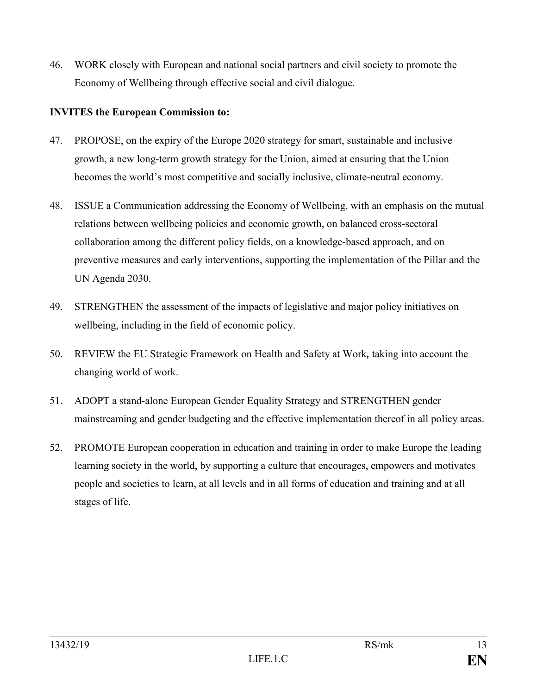46. WORK closely with European and national social partners and civil society to promote the Economy of Wellbeing through effective social and civil dialogue.

#### **INVITES the European Commission to:**

- 47. PROPOSE, on the expiry of the Europe 2020 strategy for smart, sustainable and inclusive growth, a new long-term growth strategy for the Union, aimed at ensuring that the Union becomes the world's most competitive and socially inclusive, climate-neutral economy.
- 48. ISSUE a Communication addressing the Economy of Wellbeing, with an emphasis on the mutual relations between wellbeing policies and economic growth, on balanced cross-sectoral collaboration among the different policy fields, on a knowledge-based approach, and on preventive measures and early interventions, supporting the implementation of the Pillar and the UN Agenda 2030.
- 49. STRENGTHEN the assessment of the impacts of legislative and major policy initiatives on wellbeing, including in the field of economic policy.
- 50. REVIEW the EU Strategic Framework on Health and Safety at Work*,* taking into account the changing world of work.
- 51. ADOPT a stand-alone European Gender Equality Strategy and STRENGTHEN gender mainstreaming and gender budgeting and the effective implementation thereof in all policy areas.
- 52. PROMOTE European cooperation in education and training in order to make Europe the leading learning society in the world, by supporting a culture that encourages, empowers and motivates people and societies to learn, at all levels and in all forms of education and training and at all stages of life.